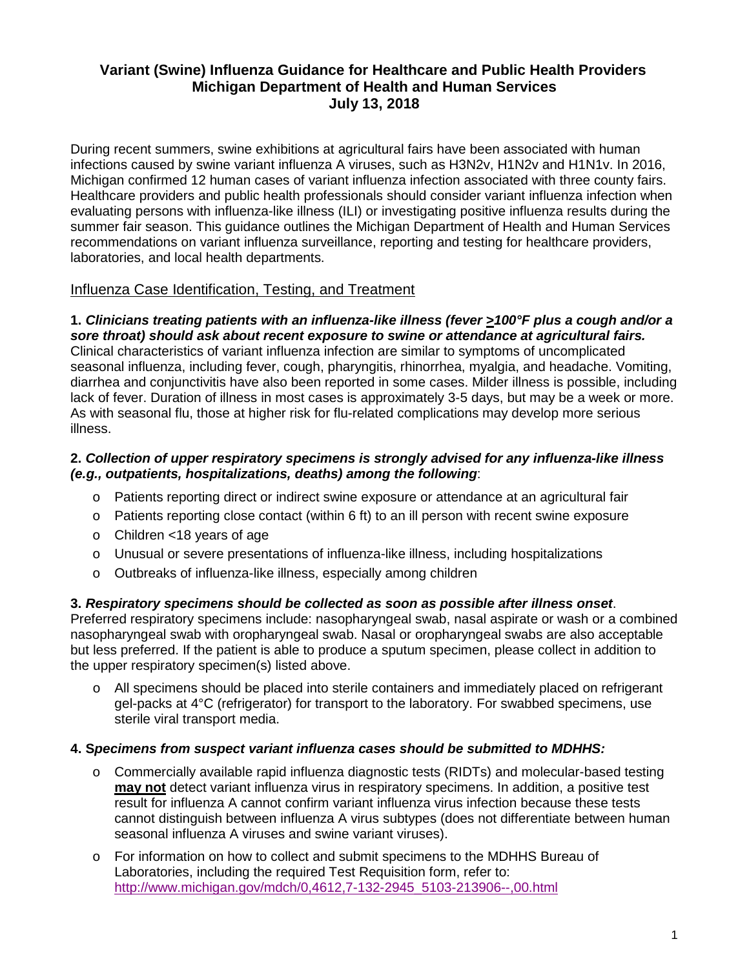# **Variant (Swine) Influenza Guidance for Healthcare and Public Health Providers Michigan Department of Health and Human Services July 13, 2018**

During recent summers, swine exhibitions at agricultural fairs have been associated with human infections caused by swine variant influenza A viruses, such as H3N2v, H1N2v and H1N1v. In 2016, Michigan confirmed 12 human cases of variant influenza infection associated with three county fairs. Healthcare providers and public health professionals should consider variant influenza infection when evaluating persons with influenza-like illness (ILI) or investigating positive influenza results during the summer fair season. This guidance outlines the Michigan Department of Health and Human Services recommendations on variant influenza surveillance, reporting and testing for healthcare providers, laboratories, and local health departments.

## Influenza Case Identification, Testing, and Treatment

### **1.** *Clinicians treating patients with an influenza-like illness (fever >100°F plus a cough and/or a sore throat) should ask about recent exposure to swine or attendance at agricultural fairs.*

Clinical characteristics of variant influenza infection are similar to symptoms of uncomplicated seasonal influenza, including fever, cough, pharyngitis, rhinorrhea, myalgia, and headache. Vomiting, diarrhea and conjunctivitis have also been reported in some cases. Milder illness is possible, including lack of fever. Duration of illness in most cases is approximately 3-5 days, but may be a week or more. As with seasonal flu, those at higher risk for flu-related complications may develop more serious illness.

#### **2.** *Collection of upper respiratory specimens is strongly advised for any influenza-like illness (e.g., outpatients, hospitalizations, deaths) among the following*:

- o Patients reporting direct or indirect swine exposure or attendance at an agricultural fair
- $\circ$  Patients reporting close contact (within 6 ft) to an ill person with recent swine exposure
- o Children <18 years of age
- o Unusual or severe presentations of influenza-like illness, including hospitalizations
- o Outbreaks of influenza-like illness, especially among children

#### **3.** *Respiratory specimens should be collected as soon as possible after illness onset*. Preferred respiratory specimens include: nasopharyngeal swab, nasal aspirate or wash or a combined nasopharyngeal swab with oropharyngeal swab. Nasal or oropharyngeal swabs are also acceptable but less preferred. If the patient is able to produce a sputum specimen, please collect in addition to the upper respiratory specimen(s) listed above.

o All specimens should be placed into sterile containers and immediately placed on refrigerant gel-packs at 4°C (refrigerator) for transport to the laboratory. For swabbed specimens, use sterile viral transport media.

## **4. S***pecimens from suspect variant influenza cases should be submitted to MDHHS:*

- o Commercially available rapid influenza diagnostic tests (RIDTs) and molecular-based testing **may not** detect variant influenza virus in respiratory specimens. In addition, a positive test result for influenza A cannot confirm variant influenza virus infection because these tests cannot distinguish between influenza A virus subtypes (does not differentiate between human seasonal influenza A viruses and swine variant viruses).
- o For information on how to collect and submit specimens to the MDHHS Bureau of Laboratories, including the required Test Requisition form, refer to: [http://www.michigan.gov/mdch/0,4612,7-132-2945\\_5103-213906--,00.html](http://www.michigan.gov/mdch/0,4612,7-132-2945_5103-213906--,00.html)